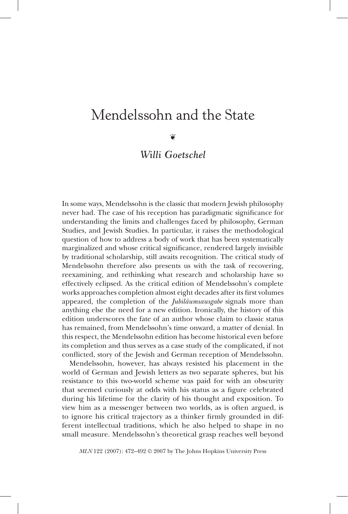# Mendelssohn and the State

❦

# *Willi Goetschel*

In some ways, Mendelssohn is the classic that modern Jewish philosophy never had. The case of his reception has paradigmatic significance for understanding the limits and challenges faced by philosophy, German Studies, and Jewish Studies. In particular, it raises the methodological question of how to address a body of work that has been systematically marginalized and whose critical significance, rendered largely invisible by traditional scholarship, still awaits recognition. The critical study of Mendelssohn therefore also presents us with the task of recovering, reexamining, and rethinking what research and scholarship have so effectively eclipsed. As the critical edition of Mendelssohn's complete works approaches completion almost eight decades after its first volumes appeared, the completion of the *Jubiläumsausgabe* signals more than anything else the need for a new edition. Ironically, the history of this edition underscores the fate of an author whose claim to classic status has remained, from Mendelssohn's time onward, a matter of denial. In this respect, the Mendelssohn edition has become historical even before its completion and thus serves as a case study of the complicated, if not conflicted, story of the Jewish and German reception of Mendelssohn.

Mendelssohn, however, has always resisted his placement in the world of German and Jewish letters as two separate spheres, but his resistance to this two-world scheme was paid for with an obscurity that seemed curiously at odds with his status as a figure celebrated during his lifetime for the clarity of his thought and exposition. To view him as a messenger between two worlds, as is often argued, is to ignore his critical trajectory as a thinker firmly grounded in different intellectual traditions, which he also helped to shape in no small measure. Mendelssohn's theoretical grasp reaches well beyond

*MLN* 122 (2007): 472–492 © 2007 by The Johns Hopkins University Press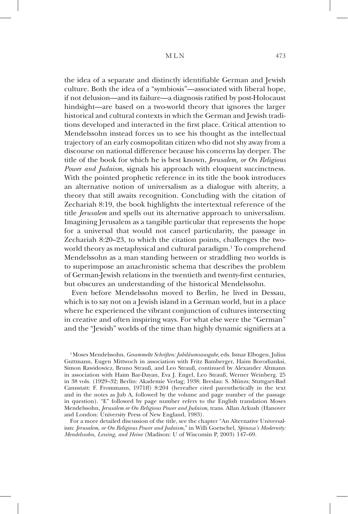the idea of a separate and distinctly identifiable German and Jewish culture. Both the idea of a "symbiosis"—associated with liberal hope, if not delusion—and its failure—a diagnosis ratified by post-Holocaust hindsight—are based on a two-world theory that ignores the larger historical and cultural contexts in which the German and Jewish traditions developed and interacted in the first place. Critical attention to Mendelssohn instead forces us to see his thought as the intellectual trajectory of an early cosmopolitan citizen who did not shy away from a discourse on national difference because his concerns lay deeper. The title of the book for which he is best known, *Jerusalem, or On Religious Power and Judaism*, signals his approach with eloquent succinctness. With the pointed prophetic reference in its title the book introduces an alternative notion of universalism as a dialogue with alterity, a theory that still awaits recognition. Concluding with the citation of Zechariah 8:19, the book highlights the intertextual reference of the title *Jerusalem* and spells out its alternative approach to universalism. Imagining Jerusalem as a tangible particular that represents the hope for a universal that would not cancel particularity, the passage in Zechariah 8:20–23, to which the citation points, challenges the twoworld theory as metaphysical and cultural paradigm.1 To comprehend Mendelssohn as a man standing between or straddling two worlds is to superimpose an anachronistic schema that describes the problem of German-Jewish relations in the twentieth and twenty-first centuries, but obscures an understanding of the historical Mendelssohn.

Even before Mendelssohn moved to Berlin, he lived in Dessau, which is to say not on a Jewish island in a German world, but in a place where he experienced the vibrant conjunction of cultures intersecting in creative and often inspiring ways. For what else were the "German" and the "Jewish" worlds of the time than highly dynamic signifiers at a

1Moses Mendelssohn, *Gesammelte Schriften: Jubiläumsausgabe*, eds. Ismar Elbogen, Julius Guttmann, Eugen Mittwoch in association with Fritz Bamberger, Haim Borodianksi, Simon Rawidowicz, Bruno Strauß, and Leo Strauß, continued by Alexander Altmann in association with Haim Bar-Dayan, Eva J. Engel, Leo Strauß, Werner Weinberg. 25 in 38 vols. (1929–32; Berlin: Akademie Verlag; 1938; Breslau: S. Münzs; Stuttgart-Bad Cannstatt: F. Frommann, 1971ff) 8:204 (hereafter cited parenthetically in the text and in the notes as Jub A, followed by the volume and page number of the passage in question). "E" followed by page number refers to the English translation Moses Mendelssohn*, Jerusalem or On Religious Power and Judaism*, trans. Allan Arkush (Hanover and London: University Press of New England, 1983).

For a more detailed discussion of the title, see the chapter "An Alternative Universalism: *Jerusalem, or On Religious Power and Judaism*," in Willi Goetschel, *Spinoza's Modernity: Mendelssohn, Lessing, and Heine* (Madison: U of Wisconsin P, 2003) 147–69.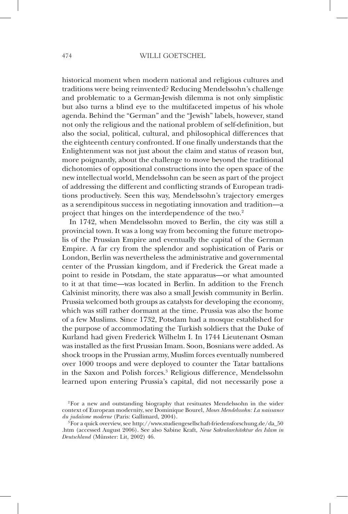historical moment when modern national and religious cultures and traditions were being reinvented? Reducing Mendelssohn's challenge and problematic to a German-Jewish dilemma is not only simplistic but also turns a blind eye to the multifaceted impetus of his whole agenda. Behind the "German" and the "Jewish" labels, however, stand not only the religious and the national problem of self-definition, but also the social, political, cultural, and philosophical differences that the eighteenth century confronted. If one finally understands that the Enlightenment was not just about the claim and status of reason but, more poignantly, about the challenge to move beyond the traditional dichotomies of oppositional constructions into the open space of the new intellectual world, Mendelssohn can be seen as part of the project of addressing the different and conflicting strands of European traditions productively. Seen this way, Mendelssohn's trajectory emerges as a serendipitous success in negotiating innovation and tradition—a project that hinges on the interdependence of the two.<sup>2</sup>

In 1742, when Mendelssohn moved to Berlin, the city was still a provincial town. It was a long way from becoming the future metropolis of the Prussian Empire and eventually the capital of the German Empire. A far cry from the splendor and sophistication of Paris or London, Berlin was nevertheless the administrative and governmental center of the Prussian kingdom, and if Frederick the Great made a point to reside in Potsdam, the state apparatus—or what amounted to it at that time—was located in Berlin. In addition to the French Calvinist minority, there was also a small Jewish community in Berlin. Prussia welcomed both groups as catalysts for developing the economy, which was still rather dormant at the time. Prussia was also the home of a few Muslims. Since 1732, Potsdam had a mosque established for the purpose of accommodating the Turkish soldiers that the Duke of Kurland had given Frederick Wilhelm I. In 1744 Lieutenant Osman was installed as the first Prussian Imam. Soon, Bosnians were added. As shock troops in the Prussian army, Muslim forces eventually numbered over 1000 troops and were deployed to counter the Tatar battalions in the Saxon and Polish forces.<sup>3</sup> Religious difference, Mendelssohn learned upon entering Prussia's capital, did not necessarily pose a

<sup>2</sup>For a new and outstanding biography that resituates Mendelssohn in the wider context of European modernity, see Dominique Bourel, *Moses Mendelssohn: La naissance du judaîsme moderne* (Paris: Gallimard, 2004).

<sup>3</sup>For a quick overview, see http://www.studiengesellschaft-friedensforschung.de/da\_50 .htm (accessed August 2006). See also Sabine Kraft, *Neue Sakralarchitektur des Islam in Deutschland* (Münster: Lit, 2002) 46.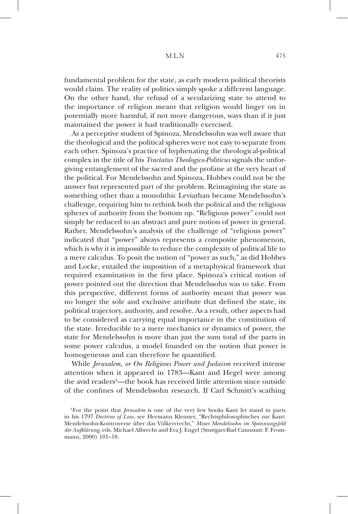## M L N 475

fundamental problem for the state, as early modern political theorists would claim. The reality of politics simply spoke a different language. On the other hand, the refusal of a secularizing state to attend to the importance of religion meant that religion would linger on in potentially more harmful, if not more dangerous, ways than if it just maintained the power it had traditionally exercised.

As a perceptive student of Spinoza, Mendelssohn was well aware that the theological and the political spheres were not easy to separate from each other. Spinoza's practice of hyphenating the theological-political complex in the title of his *Tractatus Theologico-Politicus* signals the unforgiving entanglement of the sacred and the profane at the very heart of the political. For Mendelssohn and Spinoza, Hobbes could not be the answer but represented part of the problem. Reimagining the state as something other than a monolithic Leviathan became Mendelssohn's challenge, requiring him to rethink both the political and the religious spheres of authority from the bottom up. "Religious power" could not simply be reduced to an abstract and pure notion of power in general. Rather, Mendelssohn's analysis of the challenge of "religious power" indicated that "power" always represents a composite phenomenon, which is why it is impossible to reduce the complexity of political life to a mere calculus. To posit the notion of "power as such," as did Hobbes and Locke, entailed the imposition of a metaphysical framework that required examination in the first place. Spinoza's critical notion of power pointed out the direction that Mendelssohn was to take. From this perspective, different forms of authority meant that power was no longer the sole and exclusive attribute that defined the state, its political trajectory, authority, and resolve. As a result, other aspects had to be considered as carrying equal importance in the constitution of the state. Irreducible to a mere mechanics or dynamics of power, the state for Mendelssohn is more than just the sum total of the parts in some power calculus, a model founded on the notion that power is homogeneous and can therefore be quantified.

While *Jerusalem, or On Religious Power and Judaism* received intense attention when it appeared in 1783—Kant and Hegel were among the avid readers<sup>4</sup>—the book has received little attention since outside of the confines of Mendelssohn research. If Carl Schmitt's scathing

<sup>4</sup>For the point that *Jerusalem* is one of the very few books Kant let stand in parts in his 1797 *Doctrine of Law*, see Hermann Klenner, "Rechtsphilosophisches zur Kant: Mendelssohn-Kontroverse über das Völkerrrecht," *Moses Mendelssohn im Spannungsfeld der Aufklärung*, eds. Michael Albrecht and Eva J. Engel (Stuttgart-Bad Cannstatt: F. Frommann, 2000) 101–18.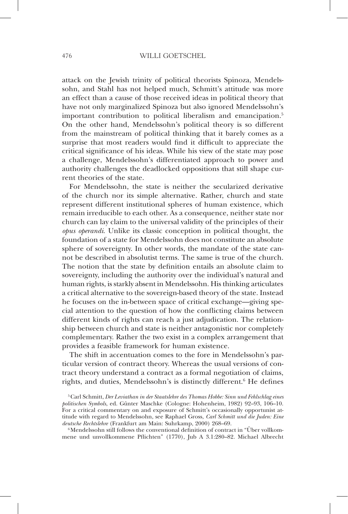attack on the Jewish trinity of political theorists Spinoza, Mendelssohn, and Stahl has not helped much, Schmitt's attitude was more an effect than a cause of those received ideas in political theory that have not only marginalized Spinoza but also ignored Mendelssohn's important contribution to political liberalism and emancipation.<sup>5</sup> On the other hand, Mendelssohn's political theory is so different from the mainstream of political thinking that it barely comes as a surprise that most readers would find it difficult to appreciate the critical significance of his ideas. While his view of the state may pose a challenge, Mendelssohn's differentiated approach to power and authority challenges the deadlocked oppositions that still shape current theories of the state.

For Mendelssohn, the state is neither the secularized derivative of the church nor its simple alternative. Rather, church and state represent different institutional spheres of human existence, which remain irreducible to each other. As a consequence, neither state nor church can lay claim to the universal validity of the principles of their *opus operandi*. Unlike its classic conception in political thought, the foundation of a state for Mendelssohn does not constitute an absolute sphere of sovereignty. In other words, the mandate of the state cannot be described in absolutist terms. The same is true of the church. The notion that the state by definition entails an absolute claim to sovereignty, including the authority over the individual's natural and human rights, is starkly absent in Mendelssohn. His thinking articulates a critical alternative to the sovereign-based theory of the state. Instead he focuses on the in-between space of critical exchange—giving special attention to the question of how the conflicting claims between different kinds of rights can reach a just adjudication. The relationship between church and state is neither antagonistic nor completely complementary. Rather the two exist in a complex arrangement that provides a feasible framework for human existence.

The shift in accentuation comes to the fore in Mendelssohn's particular version of contract theory. Whereas the usual versions of contract theory understand a contract as a formal negotiation of claims, rights, and duties, Mendelssohn's is distinctly different.<sup>6</sup> He defines

5Carl Schmitt, *Der Leviathan in der Staatslehre des Thomas Hobbe: Sinn und Fehlschlag eines politischen Symbols*, ed. Günter Maschke (Cologne: Hohenheim, 1982) 92–93, 106–10. For a critical commentary on and exposure of Schmitt's occasionally opportunist attitude with regard to Mendelssohn, see Raphael Gross, *Carl Schmitt und die Juden: Eine deutsche Rechtslehre* (Frankfurt am Main: Suhrkamp, 2000) 268–69.

 $6$ Mendelssohn still follows the conventional definition of contract in "Über vollkommene und unvollkommene Pflichten" (1770), Jub A 3.1:280–82. Michael Albrecht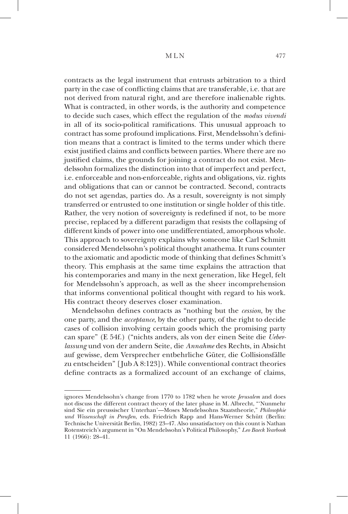#### M L N 477

contracts as the legal instrument that entrusts arbitration to a third party in the case of conflicting claims that are transferable, i.e. that are not derived from natural right, and are therefore inalienable rights. What is contracted, in other words, is the authority and competence to decide such cases, which effect the regulation of the *modus vivendi* in all of its socio-political ramifications. This unusual approach to contract has some profound implications. First, Mendelssohn's definition means that a contract is limited to the terms under which there exist justified claims and conflicts between parties. Where there are no justified claims, the grounds for joining a contract do not exist. Mendelssohn formalizes the distinction into that of imperfect and perfect, i.e. enforceable and non-enforceable, rights and obligations, viz. rights and obligations that can or cannot be contracted. Second, contracts do not set agendas, parties do. As a result, sovereignty is not simply transferred or entrusted to one institution or single holder of this title. Rather, the very notion of sovereignty is redefined if not, to be more precise, replaced by a different paradigm that resists the collapsing of different kinds of power into one undifferentiated, amorphous whole. This approach to sovereignty explains why someone like Carl Schmitt considered Mendelssohn's political thought anathema. It runs counter to the axiomatic and apodictic mode of thinking that defines Schmitt's theory. This emphasis at the same time explains the attraction that his contemporaries and many in the next generation, like Hegel, felt for Mendelssohn's approach, as well as the sheer incomprehension that informs conventional political thought with regard to his work. His contract theory deserves closer examination.

Mendelssohn defines contracts as "nothing but the *cession*, by the one party, and the *acceptance*, by the other party, of the right to decide cases of collision involving certain goods which the promising party can spare" (E 54f.) ("nichts anders, als von der einen Seite die *Ueberlassung* und von der andern Seite, die *Annahme* des Rechts, in Absicht auf gewisse, dem Versprecher entbehrliche Güter, die Collisionsfälle zu entscheiden" [Jub A 8:123]). While conventional contract theories define contracts as a formalized account of an exchange of claims,

ignores Mendelssohn's change from 1770 to 1782 when he wrote *Jerusalem* and does not discuss the different contract theory of the later phase in M. Albrecht, "'Nunmehr sind Sie ein preussischer Unterhan'—Moses Mendelssohns Staatstheorie," *Philosophie und Wissenschaft in Preußen*, eds. Friedrich Rapp and Hans-Werner Schütt (Berlin: Technische Universität Berlin, 1982) 23–47. Also unsatisfactory on this count is Nathan Rotenstreich's argument in "On Mendelssohn's Political Philosophy," *Leo Baeck Yearbook* 11 (1966): 28–41.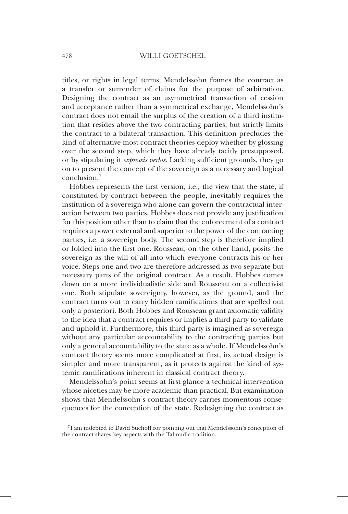titles, or rights in legal terms, Mendelssohn frames the contract as a transfer or surrender of claims for the purpose of arbitration. Designing the contract as an asymmetrical transaction of cession and acceptance rather than a symmetrical exchange, Mendelssohn's contract does not entail the surplus of the creation of a third institution that resides above the two contracting parties, but strictly limits the contract to a bilateral transaction. This definition precludes the kind of alternative most contract theories deploy whether by glossing over the second step, which they have already tacitly presupposed, or by stipulating it *expressis verbis*. Lacking sufficient grounds, they go on to present the concept of the sovereign as a necessary and logical conclusion.7

Hobbes represents the first version, i.e., the view that the state, if constituted by contract between the people, inevitably requires the institution of a sovereign who alone can govern the contractual interaction between two parties. Hobbes does not provide any justification for this position other than to claim that the enforcement of a contract requires a power external and superior to the power of the contracting parties, i.e. a sovereign body. The second step is therefore implied or folded into the first one. Rousseau, on the other hand, posits the sovereign as the will of all into which everyone contracts his or her voice. Steps one and two are therefore addressed as two separate but necessary parts of the original contract. As a result, Hobbes comes down on a more individualistic side and Rousseau on a collectivist one. Both stipulate sovereignty, however, as the ground, and the contract turns out to carry hidden ramifications that are spelled out only a posteriori. Both Hobbes and Rousseau grant axiomatic validity to the idea that a contract requires or implies a third party to validate and uphold it. Furthermore, this third party is imagined as sovereign without any particular accountability to the contracting parties but only a general accountability to the state as a whole. If Mendelssohn's contract theory seems more complicated at first, its actual design is simpler and more transparent, as it protects against the kind of systemic ramifications inherent in classical contract theory.

Mendelssohn's point seems at first glance a technical intervention whose niceties may be more academic than practical. But examination shows that Mendelssohn's contract theory carries momentous consequences for the conception of the state. Redesigning the contract as

<sup>7</sup> I am indebted to David Suchoff for pointing out that Mendelssohn's conception of the contract shares key aspects with the Talmudic tradition.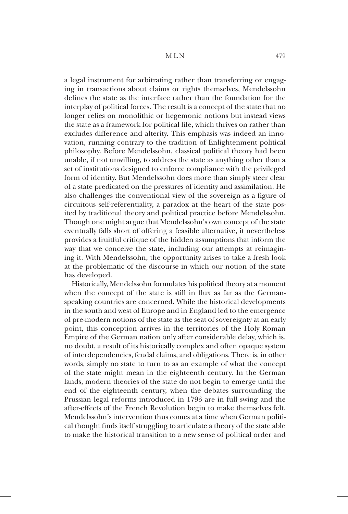a legal instrument for arbitrating rather than transferring or engaging in transactions about claims or rights themselves, Mendelssohn defines the state as the interface rather than the foundation for the interplay of political forces. The result is a concept of the state that no longer relies on monolithic or hegemonic notions but instead views the state as a framework for political life, which thrives on rather than excludes difference and alterity. This emphasis was indeed an innovation, running contrary to the tradition of Enlightenment political philosophy. Before Mendelssohn, classical political theory had been unable, if not unwilling, to address the state as anything other than a set of institutions designed to enforce compliance with the privileged form of identity. But Mendelssohn does more than simply steer clear of a state predicated on the pressures of identity and assimilation. He also challenges the conventional view of the sovereign as a figure of circuitous self-referentiality, a paradox at the heart of the state posited by traditional theory and political practice before Mendelssohn. Though one might argue that Mendelssohn's own concept of the state eventually falls short of offering a feasible alternative, it nevertheless provides a fruitful critique of the hidden assumptions that inform the way that we conceive the state, including our attempts at reimagining it. With Mendelssohn, the opportunity arises to take a fresh look at the problematic of the discourse in which our notion of the state has developed.

Historically, Mendelssohn formulates his political theory at a moment when the concept of the state is still in flux as far as the Germanspeaking countries are concerned. While the historical developments in the south and west of Europe and in England led to the emergence of pre-modern notions of the state as the seat of sovereignty at an early point, this conception arrives in the territories of the Holy Roman Empire of the German nation only after considerable delay, which is, no doubt, a result of its historically complex and often opaque system of interdependencies, feudal claims, and obligations. There is, in other words, simply no state to turn to as an example of what the concept of the state might mean in the eighteenth century. In the German lands, modern theories of the state do not begin to emerge until the end of the eighteenth century, when the debates surrounding the Prussian legal reforms introduced in 1793 are in full swing and the after-effects of the French Revolution begin to make themselves felt. Mendelssohn's intervention thus comes at a time when German political thought finds itself struggling to articulate a theory of the state able to make the historical transition to a new sense of political order and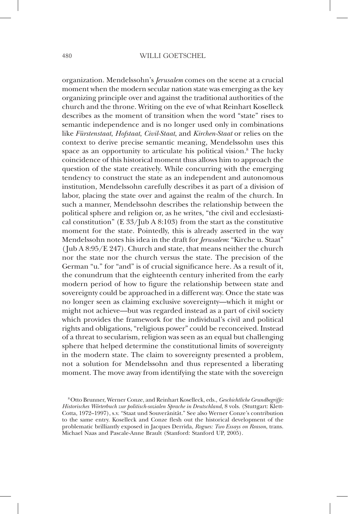organization. Mendelssohn's *Jerusalem* comes on the scene at a crucial moment when the modern secular nation state was emerging as the key organizing principle over and against the traditional authorities of the church and the throne. Writing on the eve of what Reinhart Koselleck describes as the moment of transition when the word "state" rises to semantic independence and is no longer used only in combinations like *Fürstenstaat*, *Hofstaat*, *Civil-Staat*, and *Kirchen-Staat* or relies on the context to derive precise semantic meaning, Mendelssohn uses this space as an opportunity to articulate his political vision.<sup>8</sup> The lucky coincidence of this historical moment thus allows him to approach the question of the state creatively. While concurring with the emerging tendency to construct the state as an independent and autonomous institution, Mendelssohn carefully describes it as part of a division of labor, placing the state over and against the realm of the church. In such a manner, Mendelssohn describes the relationship between the political sphere and religion or, as he writes, "the civil and ecclesiastical constitution" (E  $33/$ Jub A  $8:103$ ) from the start as the constitutive moment for the state. Pointedly, this is already asserted in the way Mendelssohn notes his idea in the draft for *Jerusalem*: "Kirche u. Staat" ( Jub A 8:95/E 247). Church and state, that means neither the church nor the state nor the church versus the state. The precision of the German "u." for "and" is of crucial significance here. As a result of it, the conundrum that the eighteenth century inherited from the early modern period of how to figure the relationship between state and sovereignty could be approached in a different way. Once the state was no longer seen as claiming exclusive sovereignty—which it might or might not achieve—but was regarded instead as a part of civil society which provides the framework for the individual's civil and political rights and obligations, "religious power" could be reconceived. Instead of a threat to secularism, religion was seen as an equal but challenging sphere that helped determine the constitutional limits of sovereignty in the modern state. The claim to sovereignty presented a problem, not a solution for Mendelssohn and thus represented a liberating moment. The move away from identifying the state with the sovereign

<sup>8</sup>Otto Brunner, Werner Conze, and Reinhart Koselleck, eds., *Geschichtliche Grundbegriffe: Historisches Wörterbuch zur politisch-sozialen Sprache in Deutschland*, 8 vols. (Stuttgart: Klett-Cotta, 1972–1997), s.v. "Staat und Souveränität." See also Werner Conze's contribution to the same entry. Koselleck and Conze flesh out the historical development of the problematic brilliantly exposed in Jacques Derrida, *Rogues: Two Essays on Reason*, trans. Michael Naas and Pascale-Anne Brault (Stanford: Stanford UP, 2005).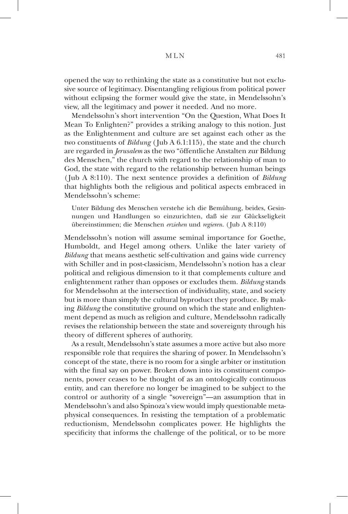opened the way to rethinking the state as a constitutive but not exclusive source of legitimacy. Disentangling religious from political power without eclipsing the former would give the state, in Mendelssohn's view, all the legitimacy and power it needed. And no more.

Mendelssohn's short intervention "On the Question, What Does It Mean To Enlighten?" provides a striking analogy to this notion. Just as the Enlightenment and culture are set against each other as the two constituents of *Bildung* ( Jub A 6.1:115), the state and the church are regarded in *Jerusalem* as the two "öffentliche Anstalten zur Bildung des Menschen," the church with regard to the relationship of man to God, the state with regard to the relationship between human beings ( Jub A 8:110). The next sentence provides a definition of *Bildung* that highlights both the religious and political aspects embraced in Mendelssohn's scheme:

Unter Bildung des Menschen verstehe ich die Bemühung, beides, Gesinnungen und Handlungen so einzurichten, daß sie zur Glückseligkeit übereinstimmen; die Menschen *erziehen* und *regieren*. ( Jub A 8:110)

Mendelssohn's notion will assume seminal importance for Goethe, Humboldt, and Hegel among others. Unlike the later variety of *Bildung* that means aesthetic self-cultivation and gains wide currency with Schiller and in post-classicism, Mendelssohn's notion has a clear political and religious dimension to it that complements culture and enlightenment rather than opposes or excludes them. *Bildung* stands for Mendelssohn at the intersection of individuality, state, and society but is more than simply the cultural byproduct they produce. By making *Bildung* the constitutive ground on which the state and enlightenment depend as much as religion and culture, Mendelssohn radically revises the relationship between the state and sovereignty through his theory of different spheres of authority.

As a result, Mendelssohn's state assumes a more active but also more responsible role that requires the sharing of power. In Mendelssohn's concept of the state, there is no room for a single arbiter or institution with the final say on power. Broken down into its constituent components, power ceases to be thought of as an ontologically continuous entity, and can therefore no longer be imagined to be subject to the control or authority of a single "sovereign"—an assumption that in Mendelssohn's and also Spinoza's view would imply questionable metaphysical consequences. In resisting the temptation of a problematic reductionism, Mendelssohn complicates power. He highlights the specificity that informs the challenge of the political, or to be more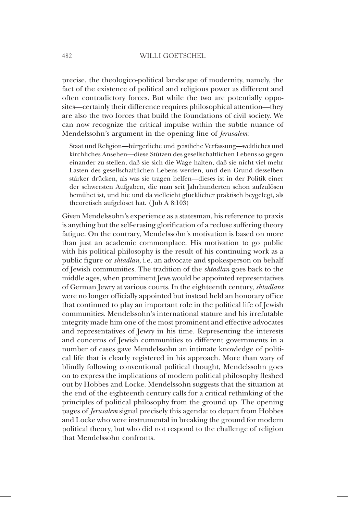precise, the theologico-political landscape of modernity, namely, the fact of the existence of political and religious power as different and often contradictory forces. But while the two are potentially opposites—certainly their difference requires philosophical attention—they are also the two forces that build the foundations of civil society. We can now recognize the critical impulse within the subtle nuance of Mendelssohn's argument in the opening line of *Jerusalem*:

Staat und Religion—bürgerliche und geistliche Verfassung—weltliches und kirchliches Ansehen—diese Stützen des gesellschaftlichen Lebens so gegen einander zu stellen, daß sie sich die Wage halten, daß sie nicht viel mehr Lasten des gesellschaftlichen Lebens werden, und den Grund desselben stärker drücken, als was sie tragen helfen—dieses ist in der Politik einer der schwersten Aufgaben, die man seit Jahrhunderten schon aufzulösen bemühet ist, und hie und da vielleicht glücklicher praktisch beygelegt, als theoretisch aufgelöset hat. ( Jub A 8:103)

Given Mendelssohn's experience as a statesman, his reference to praxis is anything but the self-erasing glorification of a recluse suffering theory fatigue. On the contrary, Mendelssohn's motivation is based on more than just an academic commonplace. His motivation to go public with his political philosophy is the result of his continuing work as a public figure or *shtadlan*, i.e. an advocate and spokesperson on behalf of Jewish communities. The tradition of the *shtadlan* goes back to the middle ages, when prominent Jews would be appointed representatives of German Jewry at various courts. In the eighteenth century, *shtadlans* were no longer officially appointed but instead held an honorary office that continued to play an important role in the political life of Jewish communities. Mendelssohn's international stature and his irrefutable integrity made him one of the most prominent and effective advocates and representatives of Jewry in his time. Representing the interests and concerns of Jewish communities to different governments in a number of cases gave Mendelssohn an intimate knowledge of political life that is clearly registered in his approach. More than wary of blindly following conventional political thought, Mendelssohn goes on to express the implications of modern political philosophy fleshed out by Hobbes and Locke. Mendelssohn suggests that the situation at the end of the eighteenth century calls for a critical rethinking of the principles of political philosophy from the ground up. The opening pages of *Jerusalem* signal precisely this agenda: to depart from Hobbes and Locke who were instrumental in breaking the ground for modern political theory, but who did not respond to the challenge of religion that Mendelssohn confronts.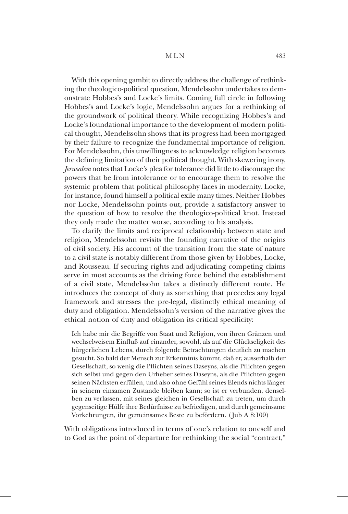#### M L N 483

With this opening gambit to directly address the challenge of rethinking the theologico-political question, Mendelssohn undertakes to demonstrate Hobbes's and Locke's limits. Coming full circle in following Hobbes's and Locke's logic, Mendelssohn argues for a rethinking of the groundwork of political theory. While recognizing Hobbes's and Locke's foundational importance to the development of modern political thought, Mendelssohn shows that its progress had been mortgaged by their failure to recognize the fundamental importance of religion. For Mendelssohn, this unwillingness to acknowledge religion becomes the defining limitation of their political thought. With skewering irony, *Jerusalem* notes that Locke's plea for tolerance did little to discourage the powers that be from intolerance or to encourage them to resolve the systemic problem that political philosophy faces in modernity. Locke, for instance, found himself a political exile many times. Neither Hobbes nor Locke, Mendelssohn points out, provide a satisfactory answer to the question of how to resolve the theologico-political knot. Instead they only made the matter worse, according to his analysis.

To clarify the limits and reciprocal relationship between state and religion, Mendelssohn revisits the founding narrative of the origins of civil society. His account of the transition from the state of nature to a civil state is notably different from those given by Hobbes, Locke, and Rousseau. If securing rights and adjudicating competing claims serve in most accounts as the driving force behind the establishment of a civil state, Mendelssohn takes a distinctly different route. He introduces the concept of duty as something that precedes any legal framework and stresses the pre-legal, distinctly ethical meaning of duty and obligation. Mendelssohn's version of the narrative gives the ethical notion of duty and obligation its critical specificity:

Ich habe mir die Begriffe von Staat und Religion, von ihren Gränzen und wechselweisem Einfluß auf einander, sowohl, als auf die Glückseligkeit des bürgerlichen Lebens, durch folgende Betrachtungen deutlich zu machen gesucht. So bald der Mensch zur Erkenntnis kömmt, daß er, ausserhalb der Gesellschaft, so wenig die Pflichten seines Daseyns, als die Pflichten gegen sich selbst und gegen den Urheber seines Daseyns, als die Pflichten gegen seinen Nächsten erfüllen, und also ohne Gefühl seines Elends nichts länger in seinem einsamen Zustande bleiben kann; so ist er verbunden, denselben zu verlassen, mit seines gleichen in Gesellschaft zu treten, um durch gegenseitige Hülfe ihre Bedürfnisse zu befriedigen, und durch gemeinsame Vorkehrungen, ihr gemeinsames Beste zu befördern. ( Jub A 8:109)

With obligations introduced in terms of one's relation to oneself and to God as the point of departure for rethinking the social "contract,"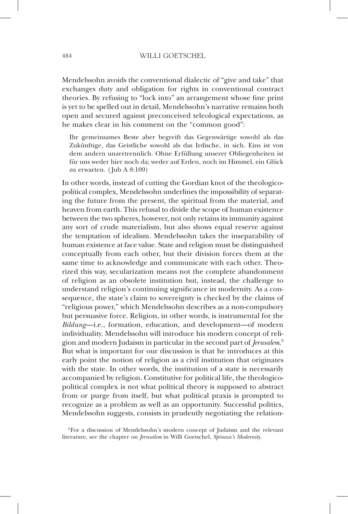# 484 WILLI GOETSCHEL

Mendelssohn avoids the conventional dialectic of "give and take" that exchanges duty and obligation for rights in conventional contract theories. By refusing to "lock into" an arrangement whose fine print is yet to be spelled out in detail, Mendelssohn's narrative remains both open and secured against preconceived teleological expectations, as he makes clear in his comment on the "common good":

Ihr gemeinsames Beste aber begreift das Gegenwärtige sowohl als das Zukünftige, das Geistliche sowohl als das Irdische, in sich. Eins ist von dem andern unzertrennlich. Ohne Erfüllung unserer Obliegenheiten ist für uns weder hier noch da; weder auf Erden, noch im Himmel, ein Glück zu erwarten. ( Jub A 8:109)

In other words, instead of cutting the Gordian knot of the theologicopolitical complex, Mendelssohn underlines the impossibility of separating the future from the present, the spiritual from the material, and heaven from earth. This refusal to divide the scope of human existence between the two spheres, however, not only retains its immunity against any sort of crude materialism, but also shows equal reserve against the temptation of idealism. Mendelssohn takes the inseparability of human existence at face value. State and religion must be distinguished conceptually from each other, but their division forces them at the same time to acknowledge and communicate with each other. Theorized this way, secularization means not the complete abandonment of religion as an obsolete institution but, instead, the challenge to understand religion's continuing significance in modernity. As a consequence, the state's claim to sovereignty is checked by the claims of "religious power," which Mendelssohn describes as a non-compulsory but persuasive force. Religion, in other words, is instrumental for the *Bildung*—i.e., formation, education, and development—of modern individuality. Mendelssohn will introduce his modern concept of religion and modern Judaism in particular in the second part of *Jerusalem*. 9 But what is important for our discussion is that he introduces at this early point the notion of religion as a civil institution that originates with the state. In other words, the institution of a state is necessarily accompanied by religion. Constitutive for political life, the theologicopolitical complex is not what political theory is supposed to abstract from or purge from itself, but what political praxis is prompted to recognize as a problem as well as an opportunity. Successful politics, Mendelssohn suggests, consists in prudently negotiating the relation-

9For a discussion of Mendelssohn's modern concept of Judaism and the relevant literature, see the chapter on *Jerusalem* in Willi Goetschel, *Spinoza's Modernity*.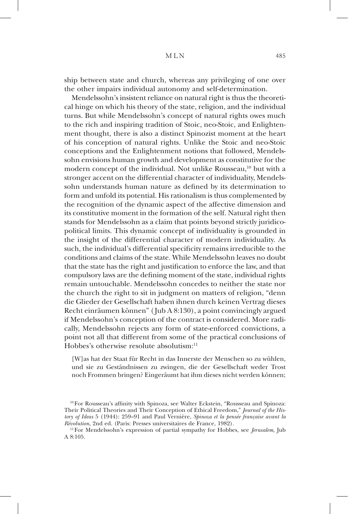ship between state and church, whereas any privileging of one over the other impairs individual autonomy and self-determination.

Mendelssohn's insistent reliance on natural right is thus the theoretical hinge on which his theory of the state, religion, and the individual turns. But while Mendelssohn's concept of natural rights owes much to the rich and inspiring tradition of Stoic, neo-Stoic, and Enlightenment thought, there is also a distinct Spinozist moment at the heart of his conception of natural rights. Unlike the Stoic and neo-Stoic conceptions and the Enlightenment notions that followed, Mendelssohn envisions human growth and development as constitutive for the modern concept of the individual. Not unlike Rousseau,<sup>10</sup> but with a stronger accent on the differential character of individuality, Mendelssohn understands human nature as defined by its determination to form and unfold its potential. His rationalism is thus complemented by the recognition of the dynamic aspect of the affective dimension and its constitutive moment in the formation of the self. Natural right then stands for Mendelssohn as a claim that points beyond strictly juridicopolitical limits. This dynamic concept of individuality is grounded in the insight of the differential character of modern individuality. As such, the individual's differential specificity remains irreducible to the conditions and claims of the state. While Mendelssohn leaves no doubt that the state has the right and justification to enforce the law, and that compulsory laws are the defining moment of the state, individual rights remain untouchable. Mendelssohn concedes to neither the state nor the church the right to sit in judgment on matters of religion, "denn die Glieder der Gesellschaft haben ihnen durch keinen Vertrag dieses Recht einräumen können" ( Jub A 8:130), a point convincingly argued if Mendelssohn's conception of the contract is considered. More radically, Mendelssohn rejects any form of state-enforced convictions, a point not all that different from some of the practical conclusions of Hobbes's otherwise resolute absolutism:<sup>11</sup>

[W]as hat der Staat für Recht in das Innerste der Menschen so zu wühlen, und sie zu Geständnissen zu zwingen, die der Gesellschaft weder Trost noch Frommen bringen? Eingeräumt hat ihm dieses nicht werden können;

<sup>10</sup>For Rousseau's affinity with Spinoza, see Walter Eckstein, "Rousseau and Spinoza: Their Political Theories and Their Conception of Ethical Freedom," *Journal of the History of Ideas* 5 (1944): 259–91 and Paul Vernière, *Spinoza et la pensée française avant la Révolution*, 2nd ed. (Paris: Presses universitaires de France, 1982).

<sup>11</sup>For Mendelssohn's expression of partial sympathy for Hobbes, see *Jerusalem*, Jub A 8:105.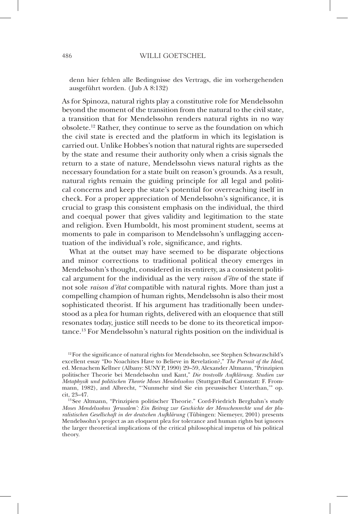denn hier fehlen alle Bedingnisse des Vertrags, die im vorhergehenden ausgeführt worden. ( Jub A 8:132)

As for Spinoza, natural rights play a constitutive role for Mendelssohn beyond the moment of the transition from the natural to the civil state, a transition that for Mendelssohn renders natural rights in no way obsolete.12 Rather, they continue to serve as the foundation on which the civil state is erected and the platform in which its legislation is carried out. Unlike Hobbes's notion that natural rights are superseded by the state and resume their authority only when a crisis signals the return to a state of nature, Mendelssohn views natural rights as the necessary foundation for a state built on reason's grounds. As a result, natural rights remain the guiding principle for all legal and political concerns and keep the state's potential for overreaching itself in check. For a proper appreciation of Mendelssohn's significance, it is crucial to grasp this consistent emphasis on the individual, the third and coequal power that gives validity and legitimation to the state and religion. Even Humboldt, his most prominent student, seems at moments to pale in comparison to Mendelssohn's unflagging accentuation of the individual's role, significance, and rights.

What at the outset may have seemed to be disparate objections and minor corrections to traditional political theory emerges in Mendelssohn's thought, considered in its entirety, as a consistent political argument for the individual as the very *raison d'être* of the state if not sole *raison d'état* compatible with natural rights. More than just a compelling champion of human rights, Mendelssohn is also their most sophisticated theorist. If his argument has traditionally been understood as a plea for human rights, delivered with an eloquence that still resonates today, justice still needs to be done to its theoretical importance.13 For Mendelssohn's natural rights position on the individual is

<sup>&</sup>lt;sup>12</sup>For the significance of natural rights for Mendelssohn, see Stephen Schwarzschild's excellent essay "Do Noachites Have to Believe in Revelation?," *The Pursuit of the Ideal*, ed. Menachem Kellner (Albany: SUNY P, 1990) 29–59, Alexander Altmann, "Prinzipien politischer Theorie bei Mendelssohn und Kant," *Die trostvolle Aufklärung. Studien zur Metaphysik und politischen Theorie Moses Mendelssohns* (Stuttgart-Bad Cannstatt: F. Frommann, 1982), and Albrecht, "'Nunmehr sind Sie ein preussischer Unterthan,'" op. cit, 23–47. 13 See Altmann, "Prinzipien politischer Theorie." Cord-Friedrich Berghahn's study

*Moses Mendelssohns 'Jerusalem': Ein Beitrag zur Geschichte der Menschenrechte und der pluralistischen Gesellschaft in der deutschen Aufklärung* (Tübingen: Niemeyer, 2001) presents Mendelssohn's project as an eloquent plea for tolerance and human rights but ignores the larger theoretical implications of the critical philosophical impetus of his political theory.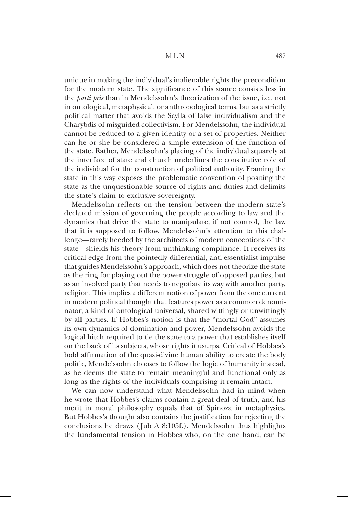#### M L N 487

unique in making the individual's inalienable rights the precondition for the modern state. The significance of this stance consists less in the *parti pris* than in Mendelssohn's theorization of the issue, i.e., not in ontological, metaphysical, or anthropological terms, but as a strictly political matter that avoids the Scylla of false individualism and the Charybdis of misguided collectivism. For Mendelssohn, the individual cannot be reduced to a given identity or a set of properties. Neither can he or she be considered a simple extension of the function of the state. Rather, Mendelssohn's placing of the individual squarely at the interface of state and church underlines the constitutive role of the individual for the construction of political authority. Framing the state in this way exposes the problematic convention of positing the state as the unquestionable source of rights and duties and delimits the state's claim to exclusive sovereignty.

Mendelssohn reflects on the tension between the modern state's declared mission of governing the people according to law and the dynamics that drive the state to manipulate, if not control, the law that it is supposed to follow. Mendelssohn's attention to this challenge—rarely heeded by the architects of modern conceptions of the state—shields his theory from unthinking compliance. It receives its critical edge from the pointedly differential, anti-essentialist impulse that guides Mendelssohn's approach, which does not theorize the state as the ring for playing out the power struggle of opposed parties, but as an involved party that needs to negotiate its way with another party, religion. This implies a different notion of power from the one current in modern political thought that features power as a common denominator, a kind of ontological universal, shared wittingly or unwittingly by all parties. If Hobbes's notion is that the "mortal God" assumes its own dynamics of domination and power, Mendelssohn avoids the logical hitch required to tie the state to a power that establishes itself on the back of its subjects, whose rights it usurps. Critical of Hobbes's bold affirmation of the quasi-divine human ability to create the body politic, Mendelssohn chooses to follow the logic of humanity instead, as he deems the state to remain meaningful and functional only as long as the rights of the individuals comprising it remain intact.

We can now understand what Mendelssohn had in mind when he wrote that Hobbes's claims contain a great deal of truth, and his merit in moral philosophy equals that of Spinoza in metaphysics. But Hobbes's thought also contains the justification for rejecting the conclusions he draws ( Jub A 8:105f.). Mendelssohn thus highlights the fundamental tension in Hobbes who, on the one hand, can be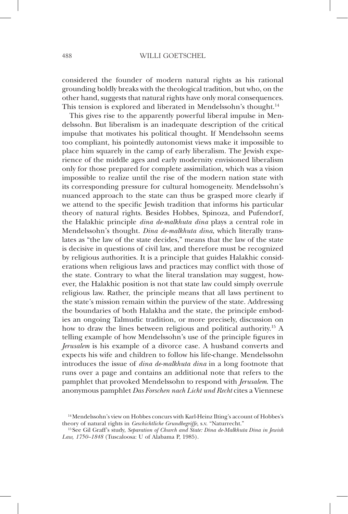## 488 WILLI GOETSCHEL

considered the founder of modern natural rights as his rational grounding boldly breaks with the theological tradition, but who, on the other hand, suggests that natural rights have only moral consequences. This tension is explored and liberated in Mendelssohn's thought.<sup>14</sup>

This gives rise to the apparently powerful liberal impulse in Mendelssohn. But liberalism is an inadequate description of the critical impulse that motivates his political thought. If Mendelssohn seems too compliant, his pointedly autonomist views make it impossible to place him squarely in the camp of early liberalism. The Jewish experience of the middle ages and early modernity envisioned liberalism only for those prepared for complete assimilation, which was a vision impossible to realize until the rise of the modern nation state with its corresponding pressure for cultural homogeneity. Mendelssohn's nuanced approach to the state can thus be grasped more clearly if we attend to the specific Jewish tradition that informs his particular theory of natural rights. Besides Hobbes, Spinoza, and Pufendorf, the Halakhic principle *dina de-malkhuta dina* plays a central role in Mendelssohn's thought. *Dina de-malkhuta dina*, which literally translates as "the law of the state decides," means that the law of the state is decisive in questions of civil law, and therefore must be recognized by religious authorities. It is a principle that guides Halakhic considerations when religious laws and practices may conflict with those of the state. Contrary to what the literal translation may suggest, however, the Halakhic position is not that state law could simply overrule religious law. Rather, the principle means that all laws pertinent to the state's mission remain within the purview of the state. Addressing the boundaries of both Halakha and the state, the principle embodies an ongoing Talmudic tradition, or more precisely, discussion on how to draw the lines between religious and political authority.15 A telling example of how Mendelssohn's use of the principle figures in *Jerusalem* is his example of a divorce case. A husband converts and expects his wife and children to follow his life-change. Mendelssohn introduces the issue of *dina de-malkhuta dina* in a long footnote that runs over a page and contains an additional note that refers to the pamphlet that provoked Mendelssohn to respond with *Jerusalem*. The anonymous pamphlet *Das Forschen nach Licht und Recht* cites a Viennese

<sup>14</sup>Mendelssohn's view on Hobbes concurs with Karl-Heinz Ilting's account of Hobbes's theory of natural rights in *Geschichtliche Grundbegriffe*, s.v. "Naturrecht."

<sup>15</sup> See Gil Graff's study, *Separation of Church and State: Dina de-Malkhuta Dina in Jewish Law, 1750–1848* (Tuscaloosa: U of Alabama P, 1985).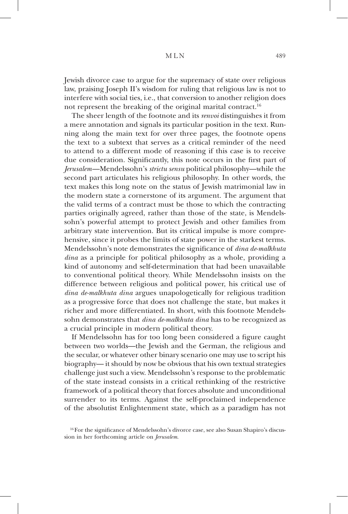Jewish divorce case to argue for the supremacy of state over religious law, praising Joseph II's wisdom for ruling that religious law is not to interfere with social ties, i.e., that conversion to another religion does not represent the breaking of the original marital contract.<sup>16</sup>

The sheer length of the footnote and its *renvoi* distinguishes it from a mere annotation and signals its particular position in the text. Running along the main text for over three pages, the footnote opens the text to a subtext that serves as a critical reminder of the need to attend to a different mode of reasoning if this case is to receive due consideration. Significantly, this note occurs in the first part of *Jerusalem*—Mendelssohn's *strictu sensu* political philosophy—while the second part articulates his religious philosophy. In other words, the text makes this long note on the status of Jewish matrimonial law in the modern state a cornerstone of its argument. The argument that the valid terms of a contract must be those to which the contracting parties originally agreed, rather than those of the state, is Mendelssohn's powerful attempt to protect Jewish and other families from arbitrary state intervention. But its critical impulse is more comprehensive, since it probes the limits of state power in the starkest terms. Mendelssohn's note demonstrates the significance of *dina de-malkhuta dina* as a principle for political philosophy as a whole, providing a kind of autonomy and self-determination that had been unavailable to conventional political theory. While Mendelssohn insists on the difference between religious and political power, his critical use of *dina de-malkhuta dina* argues unapologetically for religious tradition as a progressive force that does not challenge the state, but makes it richer and more differentiated. In short, with this footnote Mendelssohn demonstrates that *dina de-malkhuta dina* has to be recognized as a crucial principle in modern political theory.

If Mendelssohn has for too long been considered a figure caught between two worlds—the Jewish and the German, the religious and the secular, or whatever other binary scenario one may use to script his biography— it should by now be obvious that his own textual strategies challenge just such a view. Mendelssohn's response to the problematic of the state instead consists in a critical rethinking of the restrictive framework of a political theory that forces absolute and unconditional surrender to its terms. Against the self-proclaimed independence of the absolutist Enlightenment state, which as a paradigm has not

<sup>&</sup>lt;sup>16</sup>For the significance of Mendelssohn's divorce case, see also Susan Shapiro's discussion in her forthcoming article on *Jerusalem*.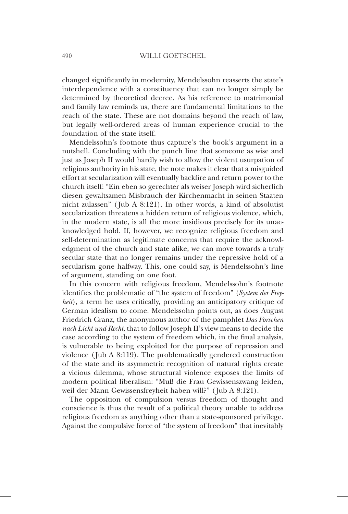changed significantly in modernity, Mendelssohn reasserts the state's interdependence with a constituency that can no longer simply be determined by theoretical decree. As his reference to matrimonial and family law reminds us, there are fundamental limitations to the reach of the state. These are not domains beyond the reach of law, but legally well-ordered areas of human experience crucial to the foundation of the state itself.

Mendelssohn's footnote thus capture's the book's argument in a nutshell. Concluding with the punch line that someone as wise and just as Joseph II would hardly wish to allow the violent usurpation of religious authority in his state, the note makes it clear that a misguided effort at secularization will eventually backfire and return power to the church itself: "Ein eben so gerechter als weiser Joseph wird sicherlich diesen gewaltsamen Misbrauch der Kirchenmacht in seinen Staaten nicht zulassen" ( Jub A 8:121). In other words, a kind of absolutist secularization threatens a hidden return of religious violence, which, in the modern state, is all the more insidious precisely for its unacknowledged hold. If, however, we recognize religious freedom and self-determination as legitimate concerns that require the acknowledgment of the church and state alike, we can move towards a truly secular state that no longer remains under the repressive hold of a secularism gone halfway. This, one could say, is Mendelssohn's line of argument, standing on one foot.

In this concern with religious freedom, Mendelssohn's footnote identifies the problematic of "the system of freedom" (*System der Freyheit*), a term he uses critically, providing an anticipatory critique of German idealism to come. Mendelssohn points out, as does August Friedrich Cranz, the anonymous author of the pamphlet *Das Forschen nach Licht und Recht*, that to follow Joseph II's view means to decide the case according to the system of freedom which, in the final analysis, is vulnerable to being exploited for the purpose of repression and violence ( Jub A 8:119). The problematically gendered construction of the state and its asymmetric recognition of natural rights create a vicious dilemma, whose structural violence exposes the limits of modern political liberalism: "Muß die Frau Gewissenszwang leiden, weil der Mann Gewissensfreyheit haben will?" ( Jub A 8:121).

The opposition of compulsion versus freedom of thought and conscience is thus the result of a political theory unable to address religious freedom as anything other than a state-sponsored privilege. Against the compulsive force of "the system of freedom" that inevitably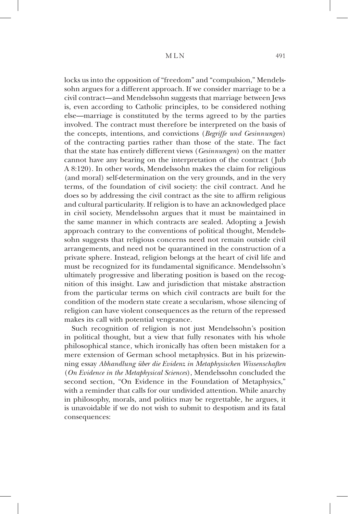locks us into the opposition of "freedom" and "compulsion," Mendelssohn argues for a different approach. If we consider marriage to be a civil contract—and Mendelssohn suggests that marriage between Jews is, even according to Catholic principles, to be considered nothing else—marriage is constituted by the terms agreed to by the parties involved. The contract must therefore be interpreted on the basis of the concepts, intentions, and convictions (*Begriffe und Gesinnungen*) of the contracting parties rather than those of the state. The fact that the state has entirely different views (*Gesinnungen*) on the matter cannot have any bearing on the interpretation of the contract ( Jub A 8:120). In other words, Mendelssohn makes the claim for religious (and moral) self-determination on the very grounds, and in the very terms, of the foundation of civil society: the civil contract. And he does so by addressing the civil contract as the site to affirm religious and cultural particularity. If religion is to have an acknowledged place in civil society, Mendelssohn argues that it must be maintained in the same manner in which contracts are sealed. Adopting a Jewish approach contrary to the conventions of political thought, Mendelssohn suggests that religious concerns need not remain outside civil arrangements, and need not be quarantined in the construction of a private sphere. Instead, religion belongs at the heart of civil life and must be recognized for its fundamental significance. Mendelssohn's ultimately progressive and liberating position is based on the recognition of this insight. Law and jurisdiction that mistake abstraction from the particular terms on which civil contracts are built for the condition of the modern state create a secularism, whose silencing of religion can have violent consequences as the return of the repressed makes its call with potential vengeance.

Such recognition of religion is not just Mendelssohn's position in political thought, but a view that fully resonates with his whole philosophical stance, which ironically has often been mistaken for a mere extension of German school metaphysics. But in his prizewinning essay *Abhandlung über die Evidenz in Metaphysischen Wissenschaften* (*On Evidence in the Metaphysical Sciences*), Mendelssohn concluded the second section, "On Evidence in the Foundation of Metaphysics," with a reminder that calls for our undivided attention. While anarchy in philosophy, morals, and politics may be regrettable, he argues, it is unavoidable if we do not wish to submit to despotism and its fatal consequences: